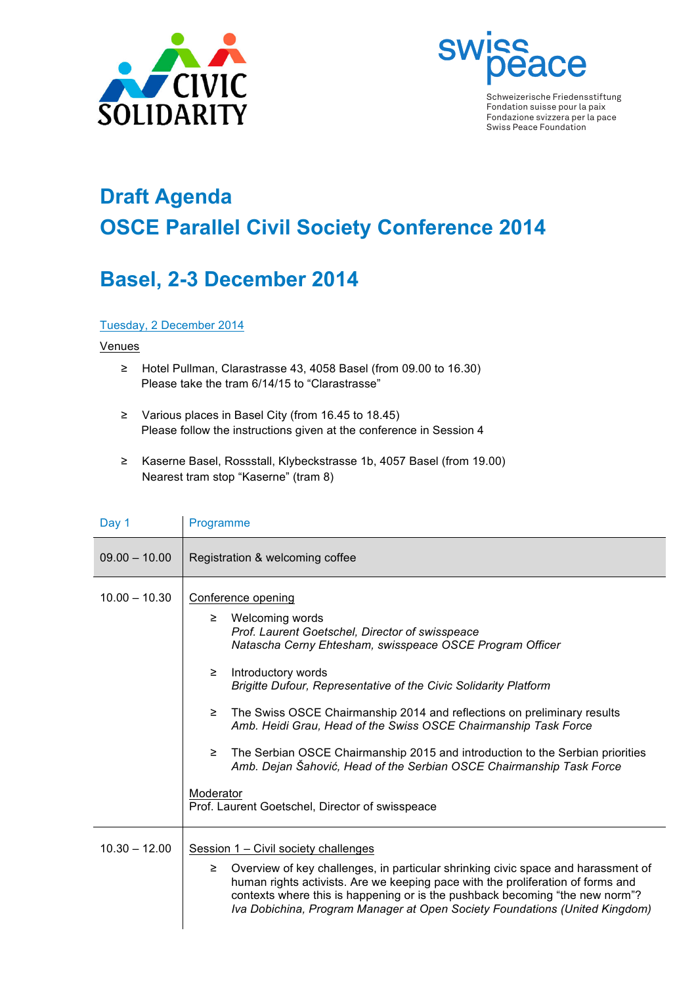



Schweizerische Friedensstiftung Fondation suisse pour la paix Fondazione svizzera per la pace Swiss Peace Foundation

# **Draft Agenda OSCE Parallel Civil Society Conference 2014**

## **Basel, 2-3 December 2014**

#### Tuesday, 2 December 2014

#### **Venues**

- ≥ Hotel Pullman, Clarastrasse 43, 4058 Basel (from 09.00 to 16.30) Please take the tram 6/14/15 to "Clarastrasse"
- ≥ Various places in Basel City (from 16.45 to 18.45) Please follow the instructions given at the conference in Session 4
- ≥ Kaserne Basel, Rossstall, Klybeckstrasse 1b, 4057 Basel (from 19.00) Nearest tram stop "Kaserne" (tram 8)

| Day 1           | Programme                                                                                                                                                                                                                                                                                                                                                                                                                                                                                                                                                                                                                                 |  |
|-----------------|-------------------------------------------------------------------------------------------------------------------------------------------------------------------------------------------------------------------------------------------------------------------------------------------------------------------------------------------------------------------------------------------------------------------------------------------------------------------------------------------------------------------------------------------------------------------------------------------------------------------------------------------|--|
| $09.00 - 10.00$ | Registration & welcoming coffee                                                                                                                                                                                                                                                                                                                                                                                                                                                                                                                                                                                                           |  |
| $10.00 - 10.30$ | Conference opening<br>Welcoming words<br>≥<br>Prof. Laurent Goetschel, Director of swisspeace<br>Natascha Cerny Ehtesham, swisspeace OSCE Program Officer<br>Introductory words<br>≥<br>Brigitte Dufour, Representative of the Civic Solidarity Platform<br>The Swiss OSCE Chairmanship 2014 and reflections on preliminary results<br>≥<br>Amb. Heidi Grau, Head of the Swiss OSCE Chairmanship Task Force<br>The Serbian OSCE Chairmanship 2015 and introduction to the Serbian priorities<br>≥<br>Amb. Dejan Šahović, Head of the Serbian OSCE Chairmanship Task Force<br>Moderator<br>Prof. Laurent Goetschel, Director of swisspeace |  |
| $10.30 - 12.00$ | Session 1 – Civil society challenges<br>Overview of key challenges, in particular shrinking civic space and harassment of<br>≥<br>human rights activists. Are we keeping pace with the proliferation of forms and<br>contexts where this is happening or is the pushback becoming "the new norm"?<br>Iva Dobichina, Program Manager at Open Society Foundations (United Kingdom)                                                                                                                                                                                                                                                          |  |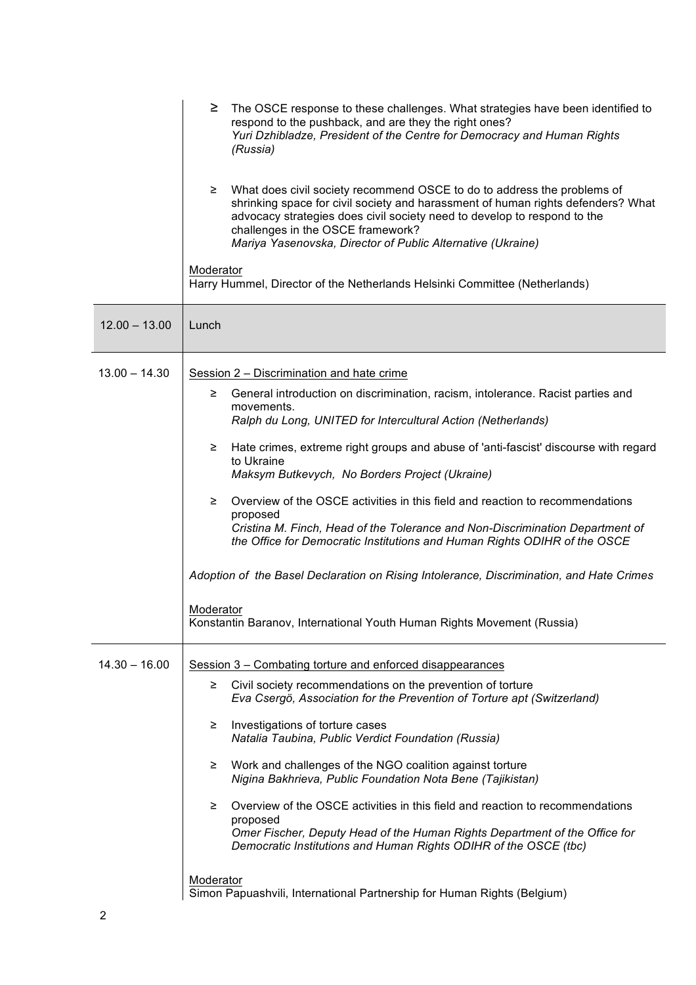|                 | ≥<br>The OSCE response to these challenges. What strategies have been identified to<br>respond to the pushback, and are they the right ones?<br>Yuri Dzhibladze, President of the Centre for Democracy and Human Rights<br>(Russia)                                                                                                              |  |
|-----------------|--------------------------------------------------------------------------------------------------------------------------------------------------------------------------------------------------------------------------------------------------------------------------------------------------------------------------------------------------|--|
|                 | What does civil society recommend OSCE to do to address the problems of<br>≧<br>shrinking space for civil society and harassment of human rights defenders? What<br>advocacy strategies does civil society need to develop to respond to the<br>challenges in the OSCE framework?<br>Mariya Yasenovska, Director of Public Alternative (Ukraine) |  |
|                 | Moderator<br>Harry Hummel, Director of the Netherlands Helsinki Committee (Netherlands)                                                                                                                                                                                                                                                          |  |
| $12.00 - 13.00$ | Lunch                                                                                                                                                                                                                                                                                                                                            |  |
| $13.00 - 14.30$ | Session 2 – Discrimination and hate crime                                                                                                                                                                                                                                                                                                        |  |
|                 | General introduction on discrimination, racism, intolerance. Racist parties and<br>≥.                                                                                                                                                                                                                                                            |  |
|                 | movements.<br>Ralph du Long, UNITED for Intercultural Action (Netherlands)                                                                                                                                                                                                                                                                       |  |
|                 | Hate crimes, extreme right groups and abuse of 'anti-fascist' discourse with regard<br>≥<br>to Ukraine<br>Maksym Butkevych, No Borders Project (Ukraine)                                                                                                                                                                                         |  |
|                 | Overview of the OSCE activities in this field and reaction to recommendations<br>≥<br>proposed<br>Cristina M. Finch, Head of the Tolerance and Non-Discrimination Department of<br>the Office for Democratic Institutions and Human Rights ODIHR of the OSCE                                                                                     |  |
|                 | Adoption of the Basel Declaration on Rising Intolerance, Discrimination, and Hate Crimes                                                                                                                                                                                                                                                         |  |
|                 | Moderator<br>Konstantin Baranov, International Youth Human Rights Movement (Russia)                                                                                                                                                                                                                                                              |  |
| $14.30 - 16.00$ | Session 3 – Combating torture and enforced disappearances                                                                                                                                                                                                                                                                                        |  |
|                 | Civil society recommendations on the prevention of torture<br>≥.<br>Eva Csergö, Association for the Prevention of Torture apt (Switzerland)                                                                                                                                                                                                      |  |
|                 | Investigations of torture cases<br>≥<br>Natalia Taubina, Public Verdict Foundation (Russia)                                                                                                                                                                                                                                                      |  |
|                 | Work and challenges of the NGO coalition against torture<br>≥<br>Nigina Bakhrieva, Public Foundation Nota Bene (Tajikistan)                                                                                                                                                                                                                      |  |
|                 | Overview of the OSCE activities in this field and reaction to recommendations<br>≥                                                                                                                                                                                                                                                               |  |
|                 | proposed<br>Omer Fischer, Deputy Head of the Human Rights Department of the Office for<br>Democratic Institutions and Human Rights ODIHR of the OSCE (tbc)                                                                                                                                                                                       |  |
|                 | Moderator<br>Simon Papuashvili, International Partnership for Human Rights (Belgium)                                                                                                                                                                                                                                                             |  |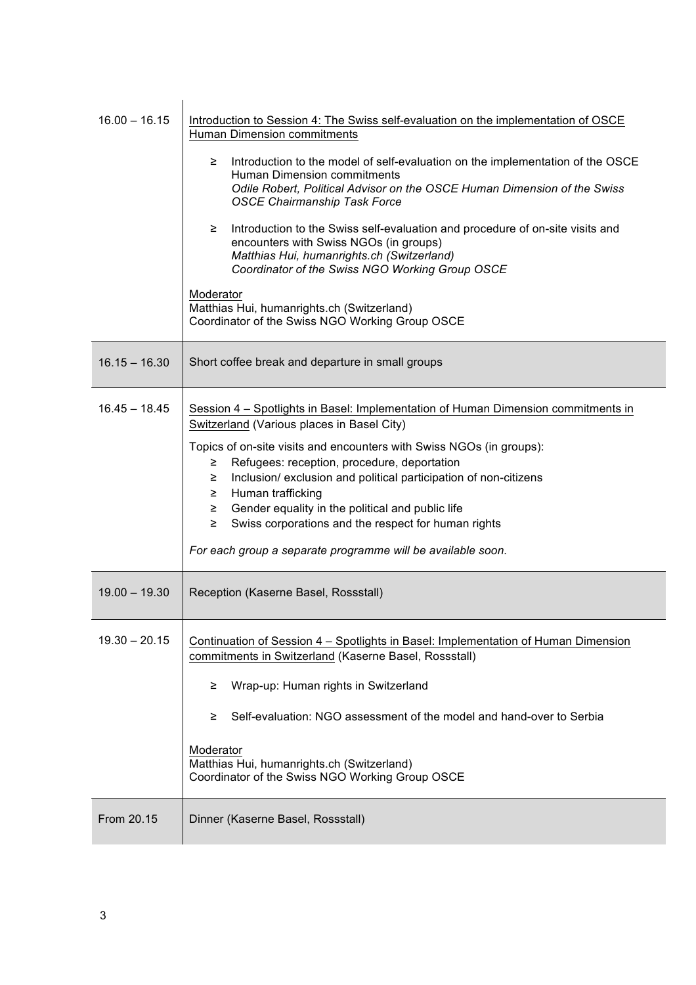| $16.00 - 16.15$ | Introduction to Session 4: The Swiss self-evaluation on the implementation of OSCE<br>Human Dimension commitments<br>Introduction to the model of self-evaluation on the implementation of the OSCE<br>≥.<br>Human Dimension commitments<br>Odile Robert, Political Advisor on the OSCE Human Dimension of the Swiss<br><b>OSCE Chairmanship Task Force</b><br>Introduction to the Swiss self-evaluation and procedure of on-site visits and<br>≥.<br>encounters with Swiss NGOs (in groups)<br>Matthias Hui, humanrights.ch (Switzerland)<br>Coordinator of the Swiss NGO Working Group OSCE<br>Moderator<br>Matthias Hui, humanrights.ch (Switzerland)<br>Coordinator of the Swiss NGO Working Group OSCE |
|-----------------|-------------------------------------------------------------------------------------------------------------------------------------------------------------------------------------------------------------------------------------------------------------------------------------------------------------------------------------------------------------------------------------------------------------------------------------------------------------------------------------------------------------------------------------------------------------------------------------------------------------------------------------------------------------------------------------------------------------|
| $16.15 - 16.30$ | Short coffee break and departure in small groups                                                                                                                                                                                                                                                                                                                                                                                                                                                                                                                                                                                                                                                            |
| $16.45 - 18.45$ | Session 4 – Spotlights in Basel: Implementation of Human Dimension commitments in<br>Switzerland (Various places in Basel City)<br>Topics of on-site visits and encounters with Swiss NGOs (in groups):<br>Refugees: reception, procedure, deportation<br>≥.<br>Inclusion/exclusion and political participation of non-citizens<br>≥.<br>Human trafficking<br>≥<br>Gender equality in the political and public life<br>≥<br>Swiss corporations and the respect for human rights<br>$\geq$<br>For each group a separate programme will be available soon.                                                                                                                                                    |
| $19.00 - 19.30$ | Reception (Kaserne Basel, Rossstall)                                                                                                                                                                                                                                                                                                                                                                                                                                                                                                                                                                                                                                                                        |
| $19.30 - 20.15$ | Continuation of Session 4 – Spotlights in Basel: Implementation of Human Dimension<br>commitments in Switzerland (Kaserne Basel, Rossstall)<br>Wrap-up: Human rights in Switzerland<br>≥.<br>Self-evaluation: NGO assessment of the model and hand-over to Serbia<br>≥.<br>Moderator<br>Matthias Hui, humanrights.ch (Switzerland)<br>Coordinator of the Swiss NGO Working Group OSCE                                                                                                                                                                                                                                                                                                                       |
| From 20.15      | Dinner (Kaserne Basel, Rossstall)                                                                                                                                                                                                                                                                                                                                                                                                                                                                                                                                                                                                                                                                           |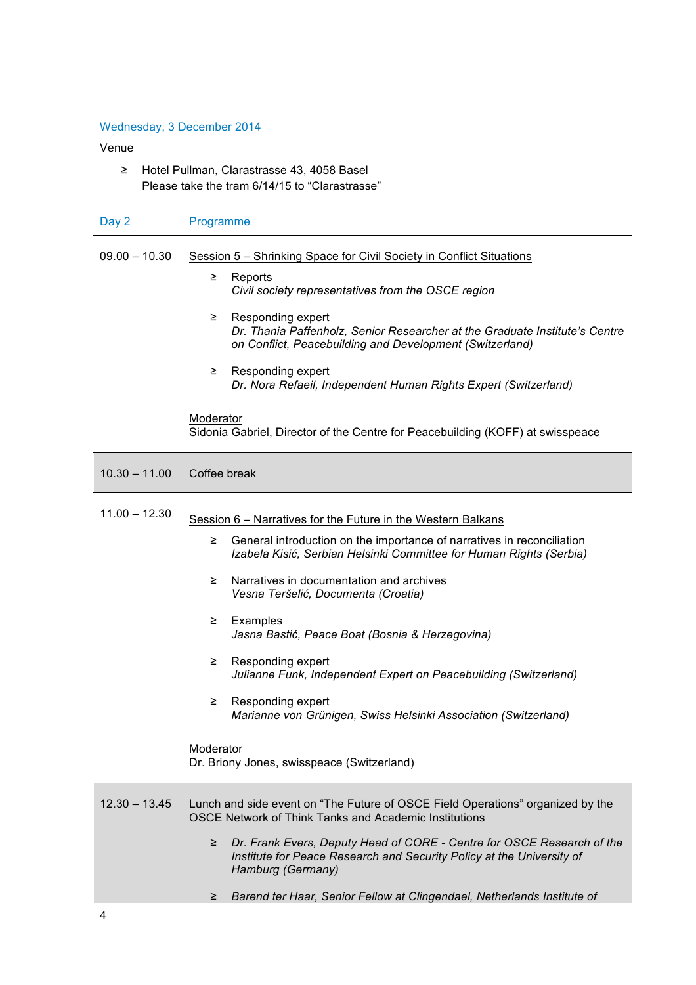### Wednesday, 3 December 2014

#### Venue

≥ Hotel Pullman, Clarastrasse 43, 4058 Basel Please take the tram 6/14/15 to "Clarastrasse"

| Programme                                                                                                                                                                                                                                                                                                                                                                                                                                                                                                                                                                                                                                |  |
|------------------------------------------------------------------------------------------------------------------------------------------------------------------------------------------------------------------------------------------------------------------------------------------------------------------------------------------------------------------------------------------------------------------------------------------------------------------------------------------------------------------------------------------------------------------------------------------------------------------------------------------|--|
| Session 5 – Shrinking Space for Civil Society in Conflict Situations<br>Reports<br>≥.<br>Civil society representatives from the OSCE region<br>Responding expert<br>≥.<br>Dr. Thania Paffenholz, Senior Researcher at the Graduate Institute's Centre<br>on Conflict, Peacebuilding and Development (Switzerland)<br>Responding expert<br>≥.<br>Dr. Nora Refaeil, Independent Human Rights Expert (Switzerland)<br>Moderator<br>Sidonia Gabriel, Director of the Centre for Peacebuilding (KOFF) at swisspeace                                                                                                                           |  |
| Coffee break                                                                                                                                                                                                                                                                                                                                                                                                                                                                                                                                                                                                                             |  |
| Session 6 – Narratives for the Future in the Western Balkans<br>General introduction on the importance of narratives in reconciliation<br>≥.<br>Izabela Kisić, Serbian Helsinki Committee for Human Rights (Serbia)<br>Narratives in documentation and archives<br>≥.<br>Vesna Teršelić, Documenta (Croatia)<br>Examples<br>≥.<br>Jasna Bastić, Peace Boat (Bosnia & Herzegovina)<br>Responding expert<br>≥.<br>Julianne Funk, Independent Expert on Peacebuilding (Switzerland)<br>Responding expert<br>2<br>Marianne von Grünigen, Swiss Helsinki Association (Switzerland)<br>Moderator<br>Dr. Briony Jones, swisspeace (Switzerland) |  |
| Lunch and side event on "The Future of OSCE Field Operations" organized by the<br>OSCE Network of Think Tanks and Academic Institutions<br>Dr. Frank Evers, Deputy Head of CORE - Centre for OSCE Research of the<br>≥<br>Institute for Peace Research and Security Policy at the University of<br>Hamburg (Germany)<br>Barend ter Haar, Senior Fellow at Clingendael, Netherlands Institute of<br>≥.                                                                                                                                                                                                                                    |  |
|                                                                                                                                                                                                                                                                                                                                                                                                                                                                                                                                                                                                                                          |  |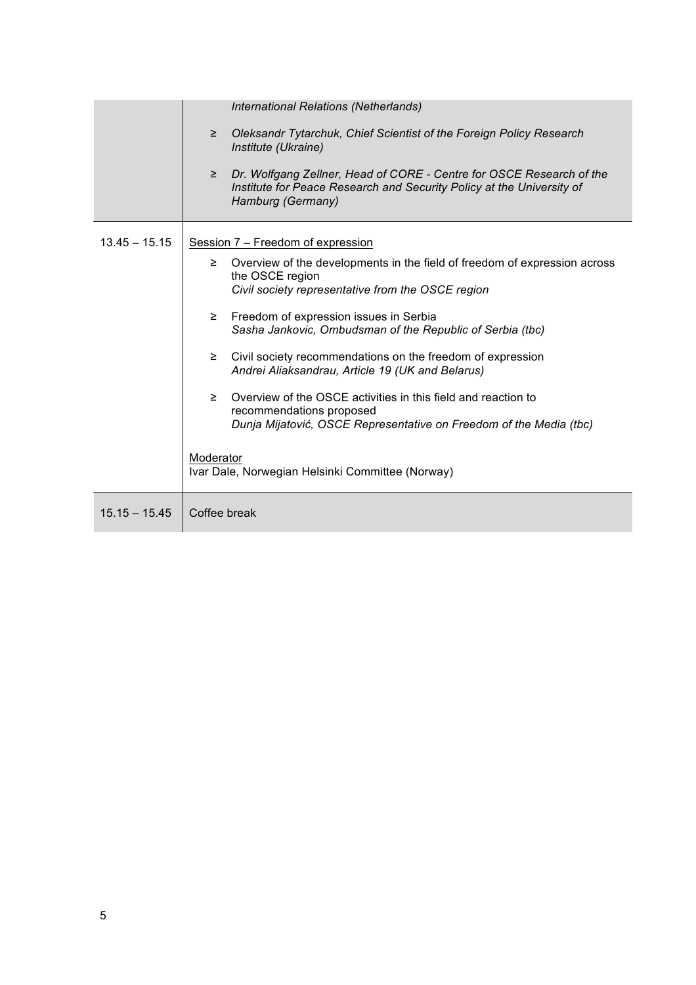|                 | International Relations (Netherlands)                                                                                                                                        |  |
|-----------------|------------------------------------------------------------------------------------------------------------------------------------------------------------------------------|--|
|                 |                                                                                                                                                                              |  |
|                 | Oleksandr Tytarchuk, Chief Scientist of the Foreign Policy Research<br>≥<br>Institute (Ukraine)                                                                              |  |
|                 | Dr. Wolfgang Zellner, Head of CORE - Centre for OSCE Research of the<br>$\geq$<br>Institute for Peace Research and Security Policy at the University of<br>Hamburg (Germany) |  |
| $13.45 - 15.15$ | Session 7 - Freedom of expression                                                                                                                                            |  |
|                 | Overview of the developments in the field of freedom of expression across<br>≥<br>the OSCE region                                                                            |  |
|                 | Civil society representative from the OSCE region                                                                                                                            |  |
|                 | Freedom of expression issues in Serbia<br>≥<br>Sasha Jankovic, Ombudsman of the Republic of Serbia (tbc)                                                                     |  |
|                 | Civil society recommendations on the freedom of expression<br>≥<br>Andrei Aliaksandrau, Article 19 (UK and Belarus)                                                          |  |
|                 | Overview of the OSCE activities in this field and reaction to<br>≥<br>recommendations proposed                                                                               |  |
|                 | Dunja Mijatović, OSCE Representative on Freedom of the Media (tbc)                                                                                                           |  |
|                 | Moderator<br>Ivar Dale, Norwegian Helsinki Committee (Norway)                                                                                                                |  |
|                 |                                                                                                                                                                              |  |
| $15.15 - 15.45$ | Coffee break                                                                                                                                                                 |  |